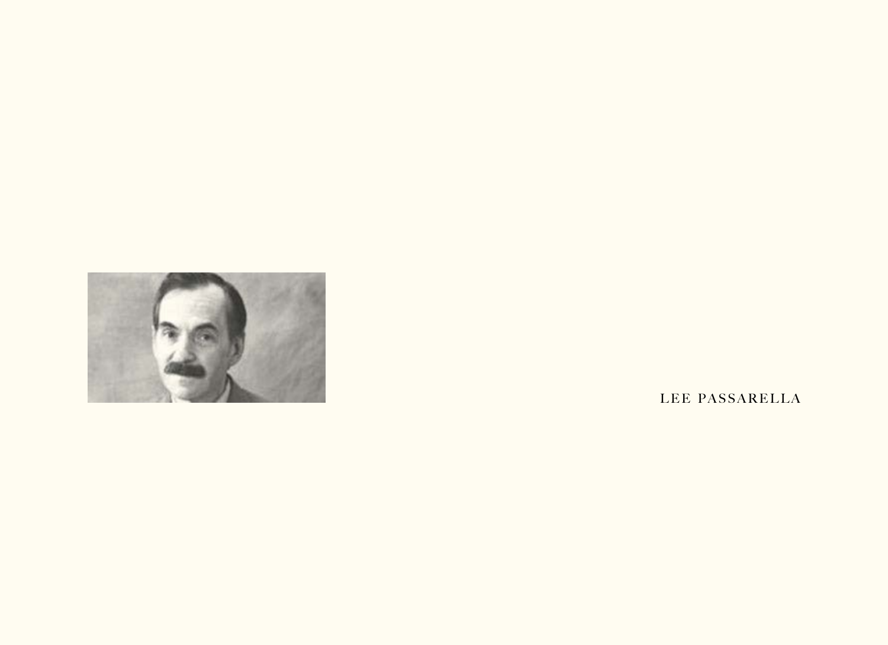

LEE PASSARELLA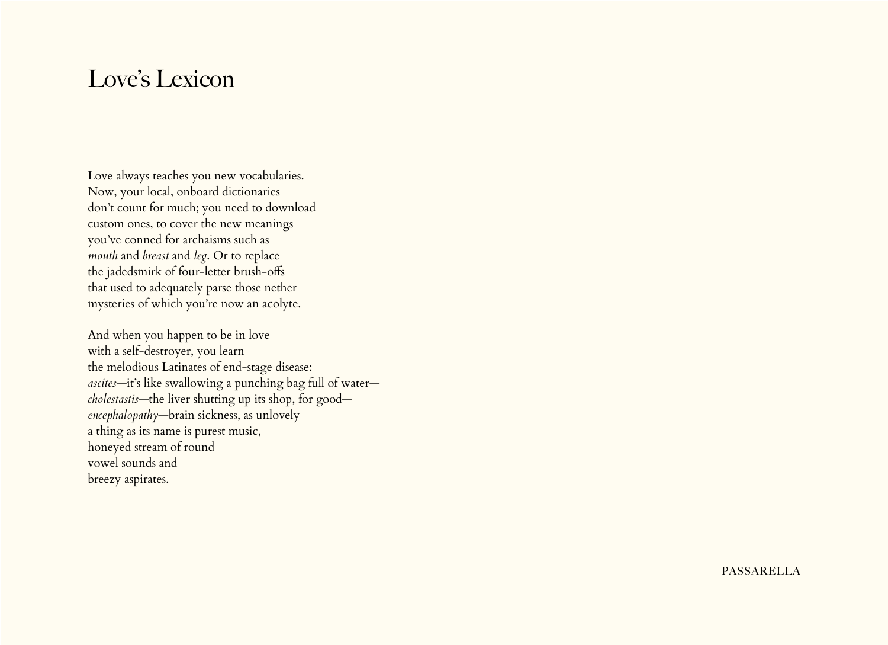#### Love's Lexicon

Love always teaches you new vocabularies. Now, your local, onboard dictionaries don't count for much; you need to download custom ones, to cover the new meanings you've conned for archaisms such as *mouth* and *breast* and *leg*. Or to replace the jadedsmirk of four-letter brush-offs that used to adequately parse those nether mysteries of which you're now an acolyte.

And when you happen to be in love with a self-destroyer, you learn the melodious Latinates of end-stage disease: *ascites*—it's like swallowing a punching bag full of water *cholestastis*—the liver shutting up its shop, for good *encephalopathy*—brain sickness, as unlovely a thing as its name is purest music, honeyed stream of round vowel sounds and breezy aspirates.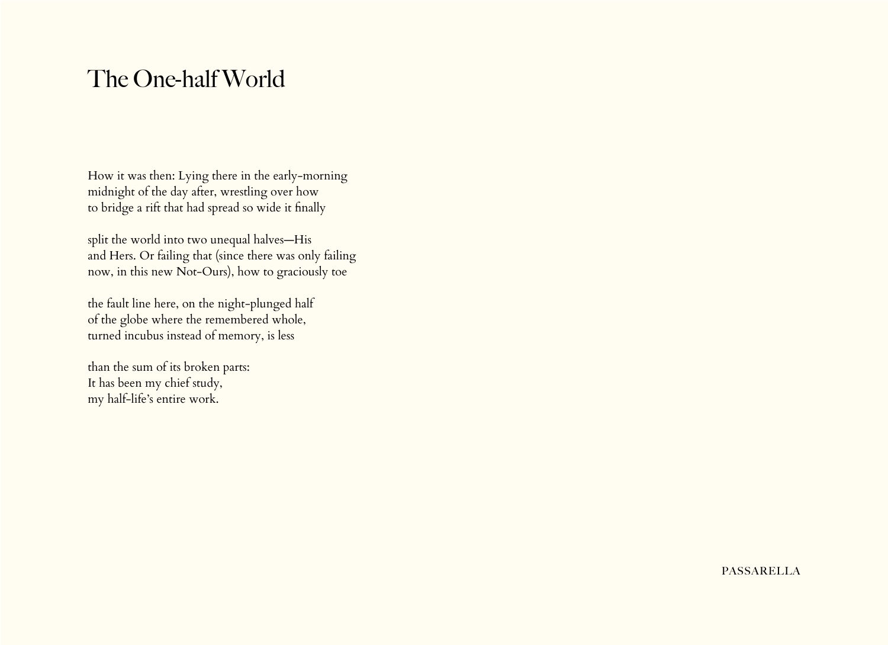# The One-half World

How it was then: Lying there in the early-morning midnight of the day after, wrestling over how to bridge a rift that had spread so wide it finally

split the world into two unequal halves—His and Hers. Or failing that (since there was only failing now, in this new Not-Ours), how to graciously toe

the fault line here, on the night-plunged half of the globe where the remembered whole, turned incubus instead of memory, is less

than the sum of its broken parts: It has been my chief study, my half-life's entire work.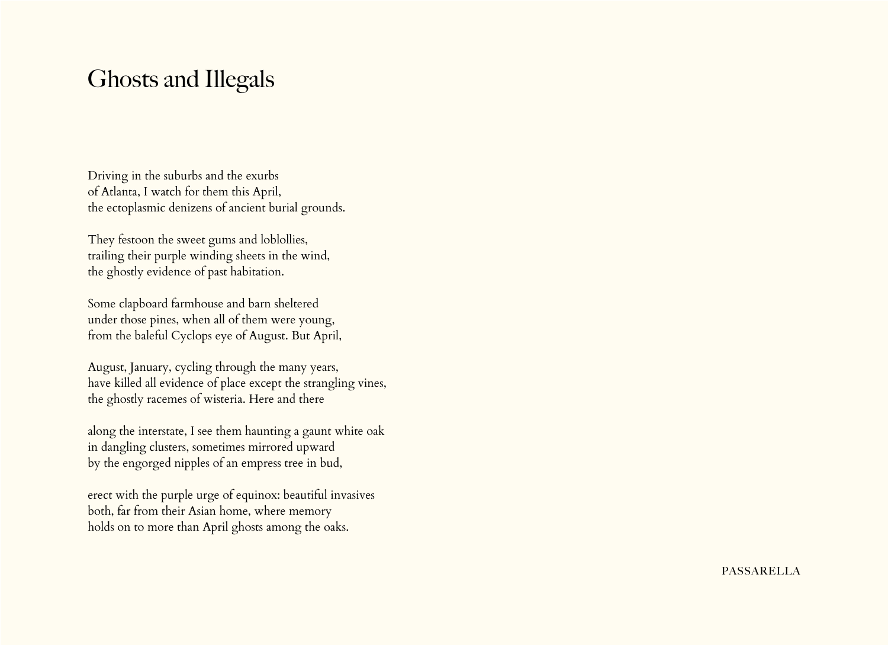## Ghosts and Illegals

Driving in the suburbs and the exurbs of Atlanta, I watch for them this April, the ectoplasmic denizens of ancient burial grounds.

They festoon the sweet gums and loblollies, trailing their purple winding sheets in the wind, the ghostly evidence of past habitation.

Some clapboard farmhouse and barn sheltered under those pines, when all of them were young, from the baleful Cyclops eye of August. But April,

August, January, cycling through the many years, have killed all evidence of place except the strangling vines, the ghostly racemes of wisteria. Here and there

along the interstate, I see them haunting a gaunt white oak in dangling clusters, sometimes mirrored upward by the engorged nipples of an empress tree in bud,

erect with the purple urge of equinox: beautiful invasives both, far from their Asian home, where memory holds on to more than April ghosts among the oaks.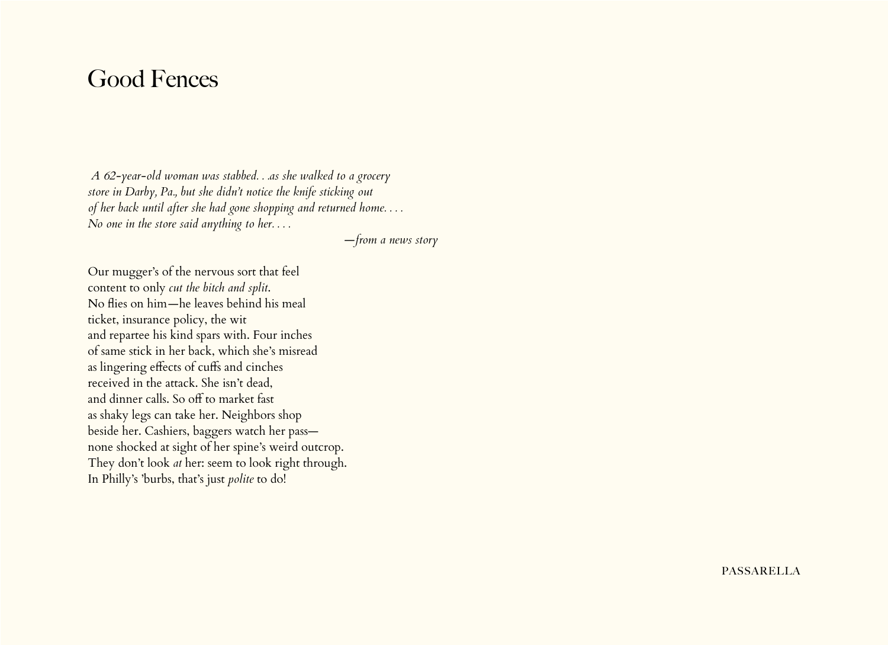#### Good Fences

*A 62-year-old woman was stabbed. . .as she walked to a grocery store in Darby, Pa., but she didn't notice the knife sticking out of her back until after she had gone shopping and returned home. . . . No one in the store said anything to her. . . .*

 *—from a news story*

Our mugger's of the nervous sort that feel content to only *cut the bitch and split*. No flies on him*—*he leaves behind his meal ticket, insurance policy, the wit and repartee his kind spars with. Four inches of same stick in her back, which she's misread as lingering effects of cuffs and cinches received in the attack. She isn't dead, and dinner calls. So off to market fast as shaky legs can take her. Neighbors shop beside her. Cashiers, baggers watch her pass none shocked at sight of her spine's weird outcrop. They don't look *at* her: seem to look right through. In Philly's 'burbs, that's just *polite* to do!